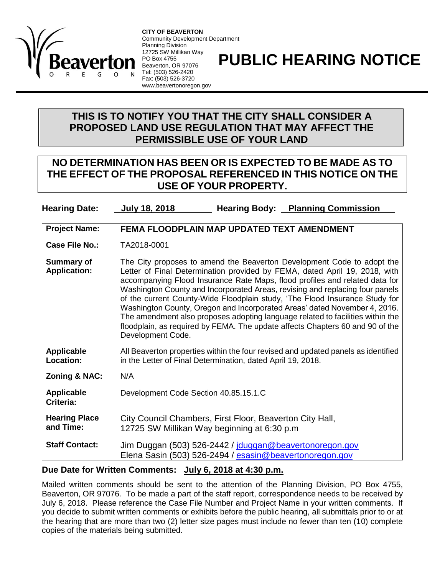

**CITY OF BEAVERTON** Community Development Department Planning Division 12725 SW Millikan Way PO Box 4755 Beaverton, OR 97076 Tel: (503) 526-2420 Fax: (503) 526-3720 www.beavertonoregon.gov

## **PUBLIC HEARING NOTICE**

## **THIS IS TO NOTIFY YOU THAT THE CITY SHALL CONSIDER A PROPOSED LAND USE REGULATION THAT MAY AFFECT THE PERMISSIBLE USE OF YOUR LAND**

## **NO DETERMINATION HAS BEEN OR IS EXPECTED TO BE MADE AS TO THE EFFECT OF THE PROPOSAL REFERENCED IN THIS NOTICE ON THE USE OF YOUR PROPERTY.**

**Hearing Date: July 18, 2018 Hearing Body: Planning Commission**

**Project Name: FEMA FLOODPLAIN MAP UPDATED TEXT AMENDMENT**

**Case File No.:** TA2018-0001

**Summary of Application:** The City proposes to amend the Beaverton Development Code to adopt the Letter of Final Determination provided by FEMA, dated April 19, 2018, with accompanying Flood Insurance Rate Maps, flood profiles and related data for Washington County and Incorporated Areas, revising and replacing four panels of the current County-Wide Floodplain study, 'The Flood Insurance Study for Washington County, Oregon and Incorporated Areas' dated November 4, 2016. The amendment also proposes adopting language related to facilities within the floodplain, as required by FEMA. The update affects Chapters 60 and 90 of the Development Code.

**Applicable Location:** All Beaverton properties within the four revised and updated panels as identified in the Letter of Final Determination, dated April 19, 2018.

**Zoning & NAC:** N/A

**Applicable Criteria:** Development Code Section 40.85.15.1.C

**Hearing Place and Time:** City Council Chambers, First Floor, Beaverton City Hall, 12725 SW Millikan Way beginning at 6:30 p.m

Staff Contact: Jim Duggan (503) 526-2442 / [jduggan@beavertonoregon.gov](mailto:jduggan@beavertonoregon.gov) Elena Sasin (503) 526-2494 / [esasin@beavertonoregon.gov](mailto:esasin@beavertonoregon.gov)

## **Due Date for Written Comments: July 6, 2018 at 4:30 p.m.**

Mailed written comments should be sent to the attention of the Planning Division, PO Box 4755, Beaverton, OR 97076. To be made a part of the staff report, correspondence needs to be received by July 6, 2018. Please reference the Case File Number and Project Name in your written comments. If you decide to submit written comments or exhibits before the public hearing, all submittals prior to or at the hearing that are more than two (2) letter size pages must include no fewer than ten (10) complete copies of the materials being submitted.